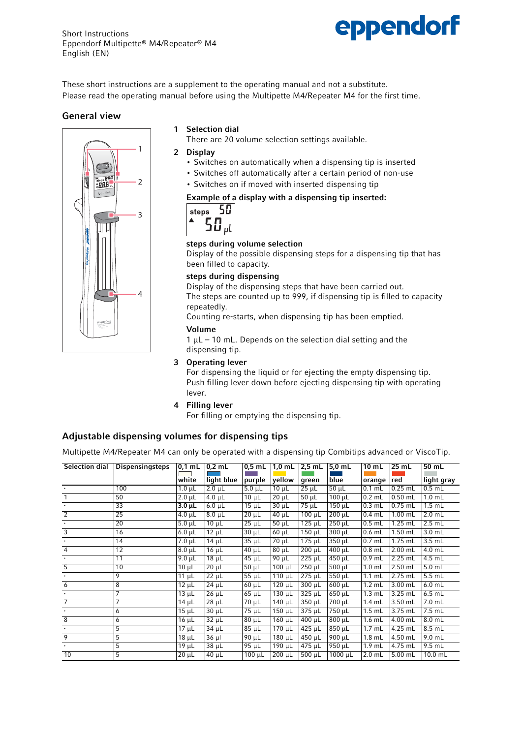

These short instructions are a supplement to the operating manual and not a substitute. Please read the operating manual before using the Multipette M4/Repeater M4 for the first time.

#### General view

# Multipette Multipe ® M4 3 2 1 4

## 1 Selection dial

There are 20 volume selection settings available.

- 2 Display
	- Switches on automatically when a dispensing tip is inserted
	- Switches off automatically after a certain period of non-use
	- Switches on if moved with inserted dispensing tip

## Example of a display with a dispensing tip inserted:



## steps during volume selection

Display of the possible dispensing steps for a dispensing tip that has been filled to capacity.

#### steps during dispensing

Display of the dispensing steps that have been carried out. The steps are counted up to 999, if dispensing tip is filled to capacity repeatedly.

Counting re-starts, when dispensing tip has been emptied.

#### Volume

 $1 \mu$ L – 10 mL. Depends on the selection dial setting and the dispensing tip.

#### 3 Operating lever

For dispensing the liquid or for ejecting the empty dispensing tip. Push filling lever down before ejecting dispensing tip with operating lever.

#### 4 Filling lever

For filling or emptying the dispensing tip.

# Adjustable dispensing volumes for dispensing tips

Multipette M4/Repeater M4 can only be operated with a dispensing tip Combitips advanced or ViscoTip.

| Selection dial | <b>Dispensingsteps</b> | $0,1$ mL    | $0,2$ mL            | $0,5$ mL    | $1,0 \text{ mL}$    | $2,5$ mL               | $5,0 \text{ mL}$    | 10 mL    | 25 mL     | 50 mL      |
|----------------|------------------------|-------------|---------------------|-------------|---------------------|------------------------|---------------------|----------|-----------|------------|
|                |                        | white       | light blue          | purple      | yellow              | green                  | blue                | orange   | red       | light gray |
|                |                        |             |                     |             |                     |                        |                     |          |           |            |
|                | 100                    | $1.0 \mu L$ | $2.0 \mu L$         | $5.0 \mu L$ | $10 \mu L$          | $25 \mu L$             | $50 \mu L$          | $0.1$ mL | $0.25$ mL | $0.5$ mL   |
|                | 50                     | $2.0 \mu L$ | $\overline{4.0}$ µL | $10 \mu L$  | $20 \mu L$          | $50 \mu L$             | $100 \mu L$         | $0.2$ mL | $0.50$ mL | $1.0$ mL   |
|                | 33                     | $3.0 \mu L$ | $6.0 \mu L$         | $15 \mu L$  | $30 \mu L$          | 75 µL                  | $150 \mu L$         | $0.3$ mL | $0.75$ mL | $1.5$ mL   |
| $\overline{2}$ | 25                     | $4.0 \mu L$ | $8.0 \mu L$         | $20 \mu L$  | $40 \mu L$          | $100 \mu L$            | $200 \mu L$         | $0.4$ mL | $1.00$ mL | $2.0$ mL   |
|                | 20                     | $5.0 \mu L$ | $10 \mu L$          | $25 \mu L$  | $50 \mu L$          | $125 \mu L$            | $250 \mu L$         | $0.5$ mL | $1.25$ mL | $2.5$ mL   |
| 3              | 16                     | $6.0 \mu L$ | $12 \mu L$          | $30 \mu L$  | $60 \mu L$          | $\overline{1}50 \mu L$ | $300 \mu L$         | $0.6$ mL | $1.50$ mL | $3.0$ mL   |
|                | 14                     | $7.0 \mu L$ | $14 \mu L$          | $35 \mu L$  | $70 \mu L$          | $175 \mu L$            | $350 \mu L$         | $0.7$ mL | $1.75$ mL | $3.5$ mL   |
| 4              | $\overline{12}$        | $8.0 \mu L$ | $16 \mu L$          | $40 \mu L$  | $80 \mu L$          | $200 \mu L$            | $\overline{400}$ µL | $0.8$ mL | $2.00$ mL | 4.0 mL     |
|                | 11                     | $9.0 \mu L$ | $18 \mu L$          | $45 \mu L$  | $90 \mu L$          | $225 \mu L$            | $450 \mu L$         | $0.9$ mL | 2.25 mL   | 4.5 mL     |
| 5              | 10                     | $10 \mu L$  | $20 \mu L$          | $50 \mu L$  | $100 \mu L$         | $250 \mu L$            | $500 \mu L$         | $1.0$ mL | $2.50$ mL | $5.0$ mL   |
|                | 9                      | 11 $\mu$ L  | $22 \mu L$          | $55 \mu L$  | $\overline{110}$ µL | $275 \mu L$            | 550 µL              | $1.1$ mL | 2.75 mL   | 5.5 mL     |
| 6              | 8                      | $12 \mu L$  | $24 \mu L$          | $60 \mu L$  | $120 \mu L$         | $300 \mu L$            | $600 \mu L$         | $1.2$ mL | 3.00 mL   | $6.0$ mL   |
|                | 7                      | $13 \mu L$  | $26 \mu L$          | $65 \mu L$  | $130 \mu L$         | $325 \mu L$            | $650 \mu L$         | $1.3$ mL | $3.25$ mL | $6.5$ mL   |
|                | 7                      | 14 μL       | $28 \mu L$          | $70 \mu L$  | 140 µL              | $350 \mu L$            | 700 µL              | 1.4 mL   | 3.50 mL   | 7.0 mL     |
|                | 6                      | $15 \mu L$  | $30 \mu L$          | 75 µL       | $150 \mu L$         | $\overline{375}$ µL    | 750 µL              | $1.5$ mL | 3.75 mL   | 7.5 mL     |
| $\overline{8}$ | 6                      | 16 μL       | $32 \mu L$          | $80 \mu L$  | $160 \mu L$         | $400 \mu L$            | $800 \mu L$         | $1.6$ mL | 4.00 mL   | $8.0$ mL   |
|                | 5                      | $17 \mu L$  | 34 µL               | $85 \mu L$  | $\overline{170}$ µL | $425 \mu L$            | $850 \mu L$         | $1.7$ mL | 4.25 mL   | 8.5 mL     |
| 9              | 5                      | $18 \mu L$  | $36 \mu$            | $90 \mu L$  | $180 \mu L$         | $\overline{450}$ µL    | $\overline{900}$ µL | $1.8$ mL | 4.50 mL   | $9.0$ mL   |
|                | 5                      | $19 \mu L$  | $38 \mu L$          | 95 $\mu$ L  | 190 µL              | $475 \mu L$            | 950 µL              | $1.9$ mL | 4.75 mL   | 9.5 mL     |
| 10             | 5                      | $20 \mu L$  | $40 \mu L$          | $100 \mu L$ | $200 \mu L$         | $500 \mu L$            | $1000 \mu L$        | $2.0$ mL | $5.00$ mL | $10.0$ mL  |